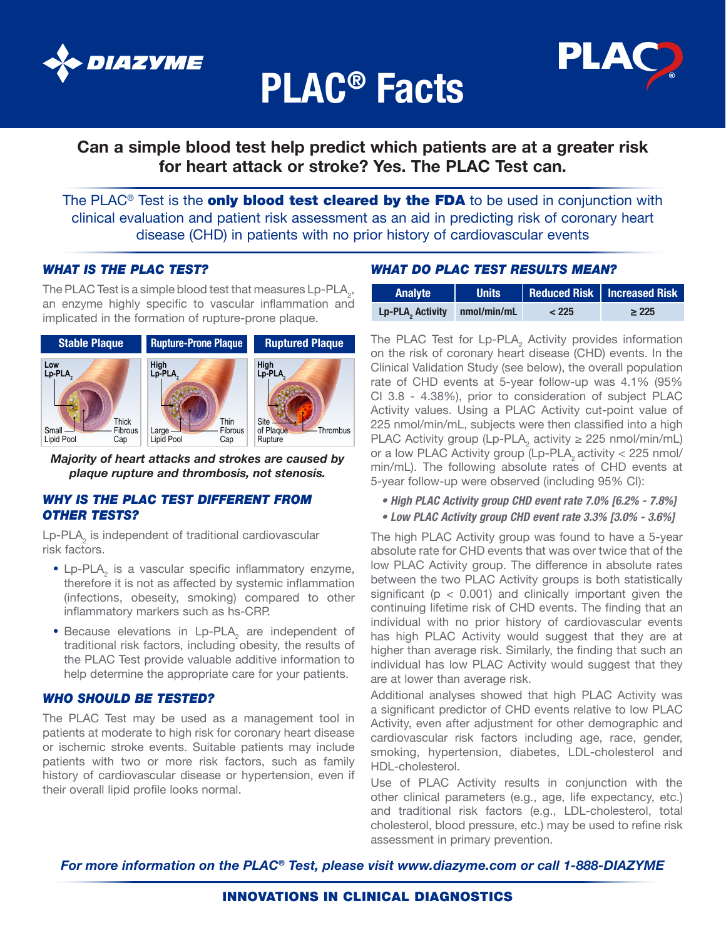

# PLAC® Facts



### Can a simple blood test help predict which patients are at a greater risk for heart attack or stroke? Yes. The PLAC Test can.

clinical evaluation and patient risk assessment as an aid in predicting risk of coronary heart The PLAC<sup>®</sup> Test is the **only blood test cleared by the FDA** to be used in conjunction with disease (CHD) in patients with no prior history of cardiovascular events

#### *WHAT IS THE PLAC TEST?* **Expanding**

The PLAC Test is a simple blood test that measures Lp-PLA<sub>2</sub>, **Analyte Bunits Redu** an enzyme highly specific to vascular inflammation and implicated in the formation of rupture-prone plaque.



*Majority of heart attacks and strokes are caused by plaque rupture and thrombosis, not stenosis.*

#### *WHY IS THE PLAC TEST DIFFERENT FROM OTHER TESTS?*

Lp-PLA<sub>2</sub> is independent of traditional cardiovascular risk factors.

- Lp-PLA<sub>2</sub> is a vascular specific inflammatory enzyme, therefore it is not as affected by systemic inflammation (infections, obeseity, smoking) compared to other inflammatory markers such as hs-CRP.
- Because elevations in Lp-PLA<sub>2</sub> are independent of traditional risk factors, including obesity, the results of the PLAC Test provide valuable additive information to help determine the appropriate care for your patients.

#### *WHO SHOULD BE TESTED?*

The PLAC Test may be used as a management tool in patients at moderate to high risk for coronary heart disease or ischemic stroke events. Suitable patients may include patients with two or more risk factors, such as family history of cardiovascular disease or hypertension, even if their overall lipid profile looks normal.

### **Site of plaque** *WHAT DO PLAC TEST RESULTS MEAN?*

| Analyte                      | <b>Units</b> |       | Reduced Risk   Increased Risk |
|------------------------------|--------------|-------|-------------------------------|
| Lp-PLA, Activity nmol/min/mL |              | < 225 | $\geq 225$                    |

The PLAC Test for Lp-PLA<sub>2</sub> Activity provides information on the risk of coronary heart disease (CHD) events. In the Clinical Validation Study (see below), the overall population rate of CHD events at 5-year follow-up was 4.1% (95% CI 3.8 - 4.38%), prior to consideration of subject PLAC Activity values. Using a PLAC Activity cut-point value of 225 nmol/min/mL, subjects were then classified into a high PLAC Activity group (Lp-PLA<sub>2</sub> activity  $\geq$  225 nmol/min/mL) or a low PLAC Activity group (Lp-PLA<sub>2</sub> activity  $<$  225 nmol/ min/mL). The following absolute rates of CHD events at 5-year follow-up were observed (including 95% CI):

*• High PLAC Activity group CHD event rate 7.0% [6.2% - 7.8%]*

*• Low PLAC Activity group CHD event rate 3.3% [3.0% - 3.6%]*

The high PLAC Activity group was found to have a 5-year absolute rate for CHD events that was over twice that of the low PLAC Activity group. The difference in absolute rates between the two PLAC Activity groups is both statistically significant ( $p < 0.001$ ) and clinically important given the continuing lifetime risk of CHD events. The finding that an individual with no prior history of cardiovascular events has high PLAC Activity would suggest that they are at higher than average risk. Similarly, the finding that such an individual has low PLAC Activity would suggest that they are at lower than average risk.

Additional analyses showed that high PLAC Activity was a significant predictor of CHD events relative to low PLAC Activity, even after adjustment for other demographic and cardiovascular risk factors including age, race, gender, smoking, hypertension, diabetes, LDL-cholesterol and HDL-cholesterol.

Use of PLAC Activity results in conjunction with the other clinical parameters (e.g., age, life expectancy, etc.) and traditional risk factors (e.g., LDL-cholesterol, total cholesterol, blood pressure, etc.) may be used to refine risk assessment in primary prevention.

*For more information on the PLAC® Test, please visit www.diazyme.com or call 1-888-DIAZYME*